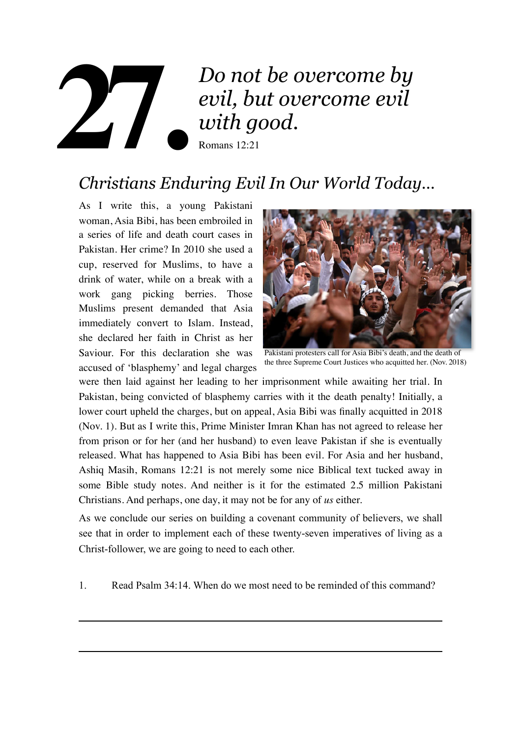## *Do not be overcome by evil, but overcome evil with good.*

Romans 12:21

# *Christians Enduring Evil In Our World Today…* **27.**

As I write this, a young Pakistani woman, Asia Bibi, has been embroiled in a series of life and death court cases in Pakistan. Her crime? In 2010 she used a cup, reserved for Muslims, to have a drink of water, while on a break with a work gang picking berries. Those Muslims present demanded that Asia immediately convert to Islam. Instead, she declared her faith in Christ as her Saviour. For this declaration she was accused of 'blasphemy' and legal charges



Pakistani protesters call for Asia Bibi's death, and the death of the three Supreme Court Justices who acquitted her. (Nov. 2018)

were then laid against her leading to her imprisonment while awaiting her trial. In Pakistan, being convicted of blasphemy carries with it the death penalty! Initially, a lower court upheld the charges, but on appeal, Asia Bibi was finally acquitted in 2018 (Nov. 1). But as I write this, Prime Minister Imran Khan has not agreed to release her from prison or for her (and her husband) to even leave Pakistan if she is eventually released. What has happened to Asia Bibi has been evil. For Asia and her husband, Ashiq Masih, Romans 12:21 is not merely some nice Biblical text tucked away in some Bible study notes. And neither is it for the estimated 2.5 million Pakistani Christians. And perhaps, one day, it may not be for any of *us* either.

As we conclude our series on building a covenant community of believers, we shall see that in order to implement each of these twenty-seven imperatives of living as a Christ-follower, we are going to need to each other.

1. Read Psalm 34:14. When do we most need to be reminded of this command?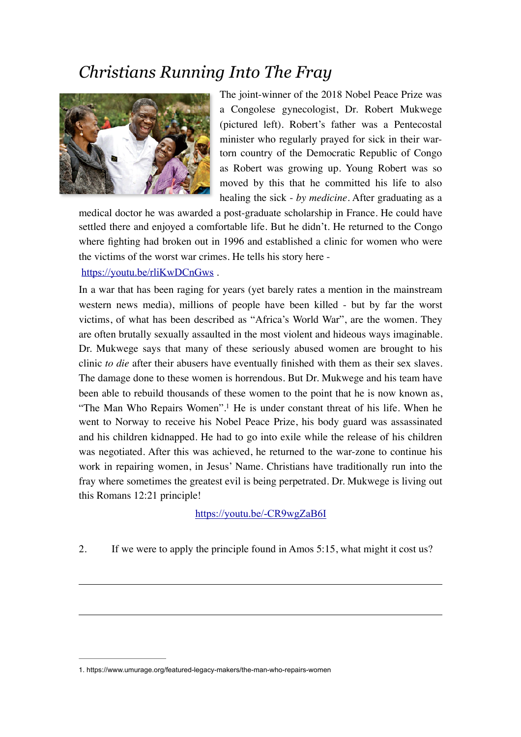## *Christians Running Into The Fray*



The joint-winner of the 2018 Nobel Peace Prize was a Congolese gynecologist, Dr. Robert Mukwege (pictured left). Robert's father was a Pentecostal minister who regularly prayed for sick in their wartorn country of the Democratic Republic of Congo as Robert was growing up. Young Robert was so moved by this that he committed his life to also healing the sick - *by medicine*. After graduating as a

medical doctor he was awarded a post-graduate scholarship in France. He could have settled there and enjoyed a comfortable life. But he didn't. He returned to the Congo where fighting had broken out in 1996 and established a clinic for women who were the victims of the worst war crimes. He tells his story here -

#### <https://youtu.be/rliKwDCnGws> .

In a war that has been raging for years (yet barely rates a mention in the mainstream western news media), millions of people have been killed - but by far the worst victims, of what has been described as "Africa's World War", are the women. They are often brutally sexually assaulted in the most violent and hideous ways imaginable. Dr. Mukwege says that many of these seriously abused women are brought to his clinic *to die* after their abusers have eventually finished with them as their sex slaves. The damage done to these women is horrendous. But Dr. Mukwege and his team have been able to rebuild thousands of these women to the point that he is now known as, "The Man Who Repairs Women"[.](#page-1-0)<sup>[1](#page-1-0)</sup> He is under constant threat of his life. When he went to Norway to receive his Nobel Peace Prize, his body guard was assassinated and his children kidnapped. He had to go into exile while the release of his children was negotiated. After this was achieved, he returned to the war-zone to continue his work in repairing women, in Jesus' Name. Christians have traditionally run into the fray where sometimes the greatest evil is being perpetrated. Dr. Mukwege is living out this Romans 12:21 principle!

<span id="page-1-1"></span><https://youtu.be/-CR9wgZaB6I>

2. If we were to apply the principle found in Amos 5:15, what might it cost us?

<span id="page-1-0"></span>[<sup>1</sup>](#page-1-1). https://www.umurage.org/featured-legacy-makers/the-man-who-repairs-women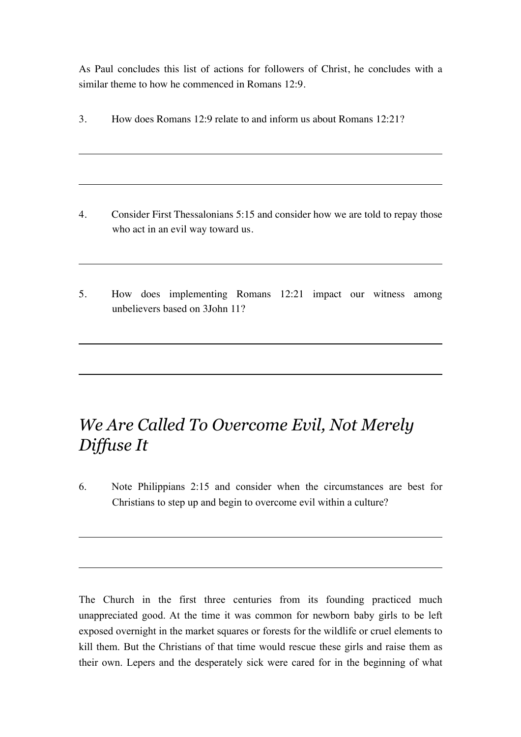As Paul concludes this list of actions for followers of Christ, he concludes with a similar theme to how he commenced in Romans 12:9.

3. How does Romans 12:9 relate to and inform us about Romans 12:21?

- 4. Consider First Thessalonians 5:15 and consider how we are told to repay those who act in an evil way toward us.
- 5. How does implementing Romans 12:21 impact our witness among unbelievers based on 3John 11?

## *We Are Called To Overcome Evil, Not Merely Diffuse It*

6. Note Philippians 2:15 and consider when the circumstances are best for Christians to step up and begin to overcome evil within a culture?

The Church in the first three centuries from its founding practiced much unappreciated good. At the time it was common for newborn baby girls to be left exposed overnight in the market squares or forests for the wildlife or cruel elements to kill them. But the Christians of that time would rescue these girls and raise them as their own. Lepers and the desperately sick were cared for in the beginning of what